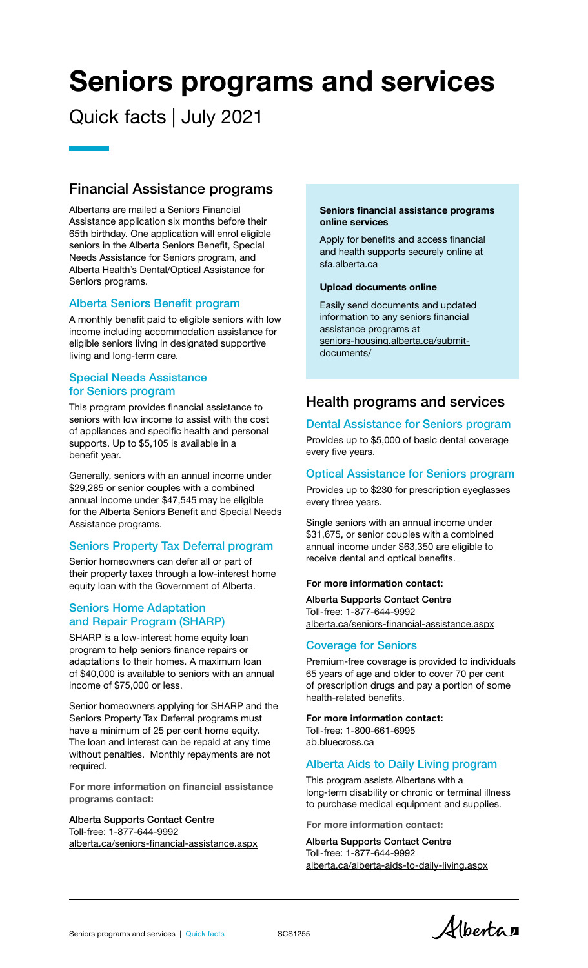# Seniors programs and services

# Quick facts | July 2021

# Financial Assistance programs

Albertans are mailed a Seniors Financial Assistance application six months before their 65th birthday. One application will enrol eligible seniors in the Alberta Seniors Benefit, Special Needs Assistance for Seniors program, and Alberta Health's Dental/Optical Assistance for Seniors programs.

#### Alberta Seniors Benefit program

A monthly benefit paid to eligible seniors with low income including accommodation assistance for eligible seniors living in designated supportive living and long-term care.

#### Special Needs Assistance for Seniors program

This program provides financial assistance to seniors with low income to assist with the cost of appliances and specific health and personal supports. Up to \$5,105 is available in a benefit year.

Generally, seniors with an annual income under \$29,285 or senior couples with a combined annual income under \$47,545 may be eligible for the Alberta Seniors Benefit and Special Needs Assistance programs.

## Seniors Property Tax Deferral program

Senior homeowners can defer all or part of their property taxes through a low-interest home equity loan with the Government of Alberta.

## Seniors Home Adaptation and Repair Program (SHARP)

SHARP is a low-interest home equity loan program to help seniors finance repairs or adaptations to their homes. A maximum loan of \$40,000 is available to seniors with an annual income of \$75,000 or less.

Senior homeowners applying for SHARP and the Seniors Property Tax Deferral programs must have a minimum of 25 per cent home equity. The loan and interest can be repaid at any time without penalties. Monthly repayments are not required.

For more information on financial assistance programs contact:

#### Alberta Supports Contact Centre Toll-free: 1-877-644-9992 [alberta.ca/seniors-financial-assistance.aspx](https://www.alberta.ca/seniors-financial-assistance.aspx)

#### Seniors financial assistance programs online services

Apply for benefits and access financial and health supports securely online at [sfa.alberta.ca](https://sfa.alberta.ca/)

#### Upload documents online

Easily send documents and updated information to any seniors financial assistance programs at [seniors-housing.alberta.ca/submit](https://www.seniors-housing.alberta.ca/submit-documents/)documents/

# Health programs and services

#### Dental Assistance for Seniors program

Provides up to \$5,000 of basic dental coverage every five years.

#### Optical Assistance for Seniors program

Provides up to \$230 for prescription eyeglasses every three years.

Single seniors with an annual income under \$31,675, or senior couples with a combined annual income under \$63,350 are eligible to receive dental and optical benefits.

#### For more information contact:

Alberta Supports Contact Centre Toll-free: 1-877-644-9992 [alberta.ca/seniors-financial-assistance.aspx](https://www.alberta.ca/seniors-financial-assistance.aspx)

#### Coverage for Seniors

Premium-free coverage is provided to individuals 65 years of age and older to cover 70 per cent of prescription drugs and pay a portion of some health-related benefits.

## For more information contact:

Toll-free: 1-800-661-6995 [ab.bluecross.ca](https://ab.bluecross.ca/)

#### Alberta Aids to Daily Living program

This program assists Albertans with a long-term disability or chronic or terminal illness to purchase medical equipment and supplies.

For more information contact:

Alberta Supports Contact Centre Toll-free: 1-877-644-9992 [alberta.ca/alberta-aids-to-daily-living.aspx](https://www.alberta.ca/alberta-aids-to-daily-living.aspx)

Alberta